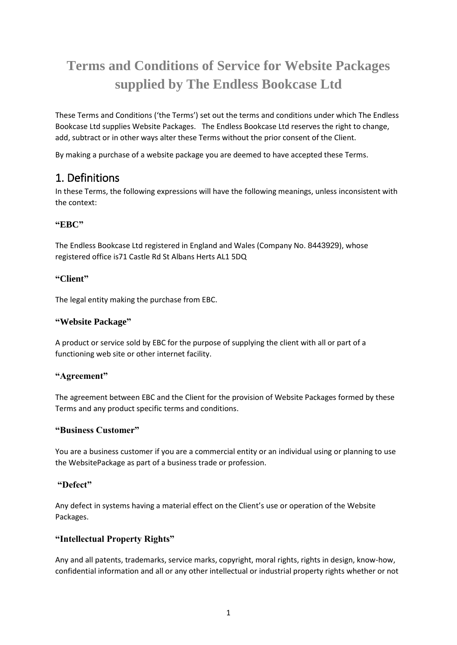# **Terms and Conditions of Service for Website Packages supplied by The Endless Bookcase Ltd**

These Terms and Conditions ('the Terms') set out the terms and conditions under which The Endless Bookcase Ltd supplies Website Packages. The Endless Bookcase Ltd reserves the right to change, add, subtract or in other ways alter these Terms without the prior consent of the Client.

By making a purchase of a website package you are deemed to have accepted these Terms.

### 1. Definitions

In these Terms, the following expressions will have the following meanings, unless inconsistent with the context:

#### **"EBC"**

The Endless Bookcase Ltd registered in England and Wales (Company No. 8443929), whose registered office is71 Castle Rd St Albans Herts AL1 5DQ

#### **"Client"**

The legal entity making the purchase from EBC.

#### **"Website Package"**

A product or service sold by EBC for the purpose of supplying the client with all or part of a functioning web site or other internet facility.

#### **"Agreement"**

The agreement between EBC and the Client for the provision of Website Packages formed by these Terms and any product specific terms and conditions.

#### **"Business Customer"**

You are a business customer if you are a commercial entity or an individual using or planning to use the WebsitePackage as part of a business trade or profession.

#### **"Defect"**

Any defect in systems having a material effect on the Client's use or operation of the Website Packages.

#### **"Intellectual Property Rights"**

Any and all patents, trademarks, service marks, copyright, moral rights, rights in design, know-how, confidential information and all or any other intellectual or industrial property rights whether or not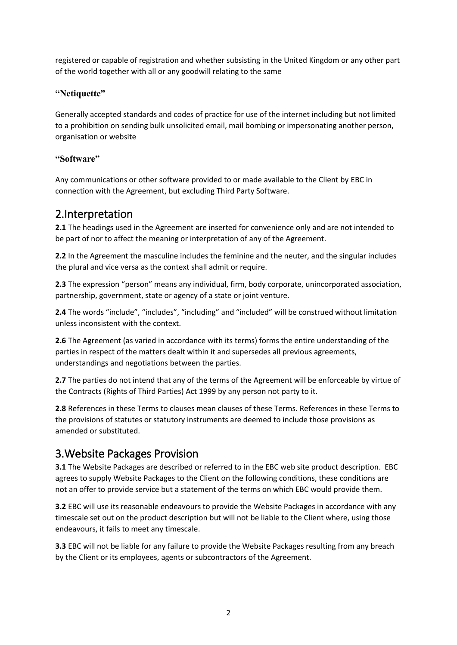registered or capable of registration and whether subsisting in the United Kingdom or any other part of the world together with all or any goodwill relating to the same

#### **"Netiquette"**

Generally accepted standards and codes of practice for use of the internet including but not limited to a prohibition on sending bulk unsolicited email, mail bombing or impersonating another person, organisation or website

#### **"Software"**

Any communications or other software provided to or made available to the Client by EBC in connection with the Agreement, but excluding Third Party Software.

#### 2.Interpretation

**2.1** The headings used in the Agreement are inserted for convenience only and are not intended to be part of nor to affect the meaning or interpretation of any of the Agreement.

**2.2** In the Agreement the masculine includes the feminine and the neuter, and the singular includes the plural and vice versa as the context shall admit or require.

**2.3** The expression "person" means any individual, firm, body corporate, unincorporated association, partnership, government, state or agency of a state or joint venture.

**2.4** The words "include", "includes", "including" and "included" will be construed without limitation unless inconsistent with the context.

**2.6** The Agreement (as varied in accordance with its terms) forms the entire understanding of the parties in respect of the matters dealt within it and supersedes all previous agreements, understandings and negotiations between the parties.

**2.7** The parties do not intend that any of the terms of the Agreement will be enforceable by virtue of the Contracts (Rights of Third Parties) Act 1999 by any person not party to it.

**2.8** References in these Terms to clauses mean clauses of these Terms. References in these Terms to the provisions of statutes or statutory instruments are deemed to include those provisions as amended or substituted.

### 3.Website Packages Provision

**3.1** The Website Packages are described or referred to in the EBC web site product description. EBC agrees to supply Website Packages to the Client on the following conditions, these conditions are not an offer to provide service but a statement of the terms on which EBC would provide them.

**3.2** EBC will use its reasonable endeavours to provide the Website Packages in accordance with any timescale set out on the product description but will not be liable to the Client where, using those endeavours, it fails to meet any timescale.

**3.3** EBC will not be liable for any failure to provide the Website Packages resulting from any breach by the Client or its employees, agents or subcontractors of the Agreement.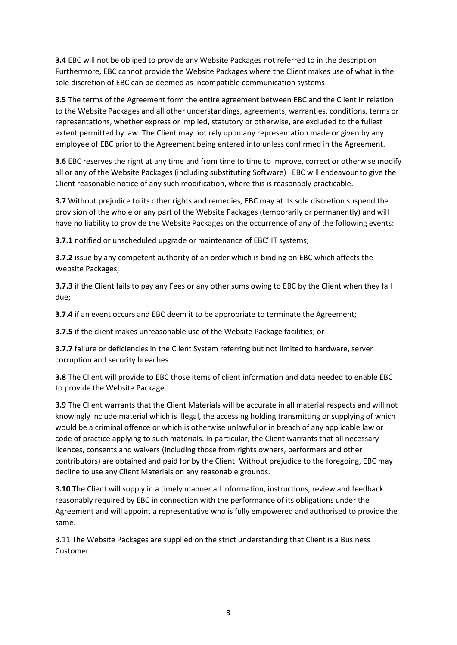**3.4** EBC will not be obliged to provide any Website Packages not referred to in the description Furthermore, EBC cannot provide the Website Packages where the Client makes use of what in the sole discretion of EBC can be deemed as incompatible communication systems.

**3.5** The terms of the Agreement form the entire agreement between EBC and the Client in relation to the Website Packages and all other understandings, agreements, warranties, conditions, terms or representations, whether express or implied, statutory or otherwise, are excluded to the fullest extent permitted by law. The Client may not rely upon any representation made or given by any employee of EBC prior to the Agreement being entered into unless confirmed in the Agreement.

**3.6** EBC reserves the right at any time and from time to time to improve, correct or otherwise modify all or any of the Website Packages (including substituting Software) EBC will endeavour to give the Client reasonable notice of any such modification, where this is reasonably practicable.

**3.7** Without prejudice to its other rights and remedies, EBC may at its sole discretion suspend the provision of the whole or any part of the Website Packages (temporarily or permanently) and will have no liability to provide the Website Packages on the occurrence of any of the following events:

**3.7.1** notified or unscheduled upgrade or maintenance of EBC' IT systems;

**3.7.2** issue by any competent authority of an order which is binding on EBC which affects the Website Packages;

**3.7.3** if the Client fails to pay any Fees or any other sums owing to EBC by the Client when they fall due;

**3.7.4** if an event occurs and EBC deem it to be appropriate to terminate the Agreement;

**3.7.5** if the client makes unreasonable use of the Website Package facilities; or

**3.7.7** failure or deficiencies in the Client System referring but not limited to hardware, server corruption and security breaches

**3.8** The Client will provide to EBC those items of client information and data needed to enable EBC to provide the Website Package.

**3.9** The Client warrants that the Client Materials will be accurate in all material respects and will not knowingly include material which is illegal, the accessing holding transmitting or supplying of which would be a criminal offence or which is otherwise unlawful or in breach of any applicable law or code of practice applying to such materials. In particular, the Client warrants that all necessary licences, consents and waivers (including those from rights owners, performers and other contributors) are obtained and paid for by the Client. Without prejudice to the foregoing, EBC may decline to use any Client Materials on any reasonable grounds.

**3.10** The Client will supply in a timely manner all information, instructions, review and feedback reasonably required by EBC in connection with the performance of its obligations under the Agreement and will appoint a representative who is fully empowered and authorised to provide the same.

3.11 The Website Packages are supplied on the strict understanding that Client is a Business Customer.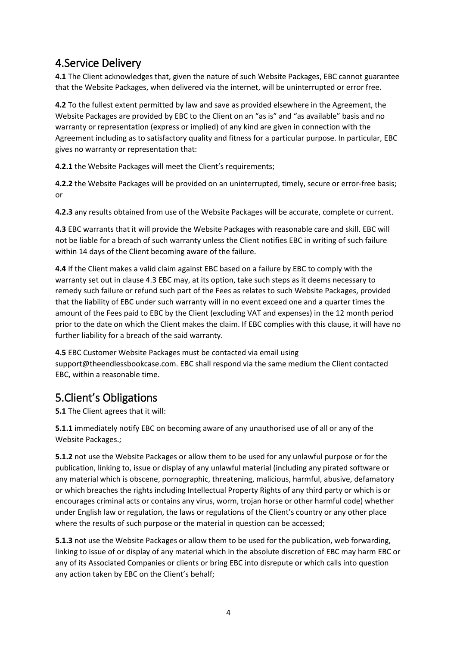## 4.Service Delivery

**4.1** The Client acknowledges that, given the nature of such Website Packages, EBC cannot guarantee that the Website Packages, when delivered via the internet, will be uninterrupted or error free.

**4.2** To the fullest extent permitted by law and save as provided elsewhere in the Agreement, the Website Packages are provided by EBC to the Client on an "as is" and "as available" basis and no warranty or representation (express or implied) of any kind are given in connection with the Agreement including as to satisfactory quality and fitness for a particular purpose. In particular, EBC gives no warranty or representation that:

**4.2.1** the Website Packages will meet the Client's requirements;

**4.2.2** the Website Packages will be provided on an uninterrupted, timely, secure or error-free basis; or

**4.2.3** any results obtained from use of the Website Packages will be accurate, complete or current.

**4.3** EBC warrants that it will provide the Website Packages with reasonable care and skill. EBC will not be liable for a breach of such warranty unless the Client notifies EBC in writing of such failure within 14 days of the Client becoming aware of the failure.

**4.4** If the Client makes a valid claim against EBC based on a failure by EBC to comply with the warranty set out in clause 4.3 EBC may, at its option, take such steps as it deems necessary to remedy such failure or refund such part of the Fees as relates to such Website Packages, provided that the liability of EBC under such warranty will in no event exceed one and a quarter times the amount of the Fees paid to EBC by the Client (excluding VAT and expenses) in the 12 month period prior to the date on which the Client makes the claim. If EBC complies with this clause, it will have no further liability for a breach of the said warranty.

**4.5** EBC Customer Website Packages must be contacted via email using support@theendlessbookcase.com. EBC shall respond via the same medium the Client contacted EBC, within a reasonable time.

# 5.Client's Obligations

**5.1** The Client agrees that it will:

**5.1.1** immediately notify EBC on becoming aware of any unauthorised use of all or any of the Website Packages.;

**5.1.2** not use the Website Packages or allow them to be used for any unlawful purpose or for the publication, linking to, issue or display of any unlawful material (including any pirated software or any material which is obscene, pornographic, threatening, malicious, harmful, abusive, defamatory or which breaches the rights including Intellectual Property Rights of any third party or which is or encourages criminal acts or contains any virus, worm, trojan horse or other harmful code) whether under English law or regulation, the laws or regulations of the Client's country or any other place where the results of such purpose or the material in question can be accessed;

**5.1.3** not use the Website Packages or allow them to be used for the publication, web forwarding, linking to issue of or display of any material which in the absolute discretion of EBC may harm EBC or any of its Associated Companies or clients or bring EBC into disrepute or which calls into question any action taken by EBC on the Client's behalf;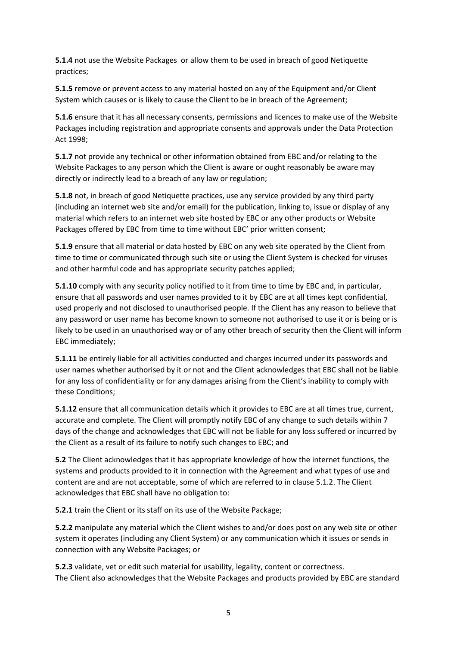**5.1.4** not use the Website Packages or allow them to be used in breach of good Netiquette practices;

**5.1.5** remove or prevent access to any material hosted on any of the Equipment and/or Client System which causes or is likely to cause the Client to be in breach of the Agreement;

**5.1.6** ensure that it has all necessary consents, permissions and licences to make use of the Website Packages including registration and appropriate consents and approvals under the Data Protection Act 1998;

**5.1.7** not provide any technical or other information obtained from EBC and/or relating to the Website Packages to any person which the Client is aware or ought reasonably be aware may directly or indirectly lead to a breach of any law or regulation;

**5.1.8** not, in breach of good Netiquette practices, use any service provided by any third party (including an internet web site and/or email) for the publication, linking to, issue or display of any material which refers to an internet web site hosted by EBC or any other products or Website Packages offered by EBC from time to time without EBC' prior written consent;

**5.1.9** ensure that all material or data hosted by EBC on any web site operated by the Client from time to time or communicated through such site or using the Client System is checked for viruses and other harmful code and has appropriate security patches applied;

**5.1.10** comply with any security policy notified to it from time to time by EBC and, in particular, ensure that all passwords and user names provided to it by EBC are at all times kept confidential, used properly and not disclosed to unauthorised people. If the Client has any reason to believe that any password or user name has become known to someone not authorised to use it or is being or is likely to be used in an unauthorised way or of any other breach of security then the Client will inform EBC immediately;

**5.1.11** be entirely liable for all activities conducted and charges incurred under its passwords and user names whether authorised by it or not and the Client acknowledges that EBC shall not be liable for any loss of confidentiality or for any damages arising from the Client's inability to comply with these Conditions;

**5.1.12** ensure that all communication details which it provides to EBC are at all times true, current, accurate and complete. The Client will promptly notify EBC of any change to such details within 7 days of the change and acknowledges that EBC will not be liable for any loss suffered or incurred by the Client as a result of its failure to notify such changes to EBC; and

**5.2** The Client acknowledges that it has appropriate knowledge of how the internet functions, the systems and products provided to it in connection with the Agreement and what types of use and content are and are not acceptable, some of which are referred to in clause 5.1.2. The Client acknowledges that EBC shall have no obligation to:

**5.2.1** train the Client or its staff on its use of the Website Package;

**5.2.2** manipulate any material which the Client wishes to and/or does post on any web site or other system it operates (including any Client System) or any communication which it issues or sends in connection with any Website Packages; or

**5.2.3** validate, vet or edit such material for usability, legality, content or correctness. The Client also acknowledges that the Website Packages and products provided by EBC are standard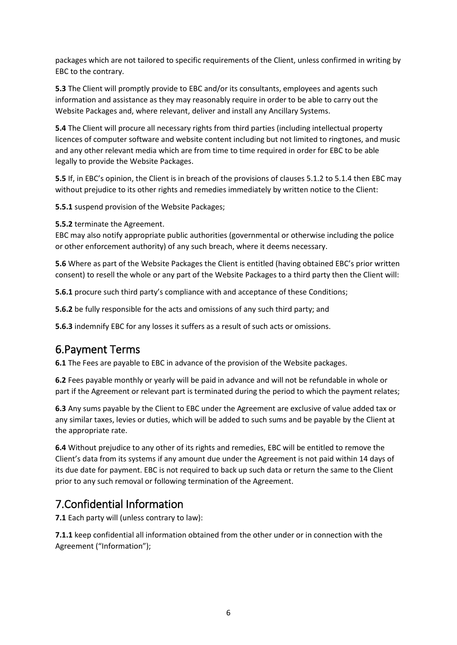packages which are not tailored to specific requirements of the Client, unless confirmed in writing by EBC to the contrary.

**5.3** The Client will promptly provide to EBC and/or its consultants, employees and agents such information and assistance as they may reasonably require in order to be able to carry out the Website Packages and, where relevant, deliver and install any Ancillary Systems.

**5.4** The Client will procure all necessary rights from third parties (including intellectual property licences of computer software and website content including but not limited to ringtones, and music and any other relevant media which are from time to time required in order for EBC to be able legally to provide the Website Packages.

**5.5** If, in EBC's opinion, the Client is in breach of the provisions of clauses 5.1.2 to 5.1.4 then EBC may without prejudice to its other rights and remedies immediately by written notice to the Client:

**5.5.1** suspend provision of the Website Packages;

**5.5.2** terminate the Agreement.

EBC may also notify appropriate public authorities (governmental or otherwise including the police or other enforcement authority) of any such breach, where it deems necessary.

**5.6** Where as part of the Website Packages the Client is entitled (having obtained EBC's prior written consent) to resell the whole or any part of the Website Packages to a third party then the Client will:

**5.6.1** procure such third party's compliance with and acceptance of these Conditions;

**5.6.2** be fully responsible for the acts and omissions of any such third party; and

**5.6.3** indemnify EBC for any losses it suffers as a result of such acts or omissions.

### 6.Payment Terms

**6.1** The Fees are payable to EBC in advance of the provision of the Website packages.

**6.2** Fees payable monthly or yearly will be paid in advance and will not be refundable in whole or part if the Agreement or relevant part is terminated during the period to which the payment relates;

**6.3** Any sums payable by the Client to EBC under the Agreement are exclusive of value added tax or any similar taxes, levies or duties, which will be added to such sums and be payable by the Client at the appropriate rate.

**6.4** Without prejudice to any other of its rights and remedies, EBC will be entitled to remove the Client's data from its systems if any amount due under the Agreement is not paid within 14 days of its due date for payment. EBC is not required to back up such data or return the same to the Client prior to any such removal or following termination of the Agreement.

## 7.Confidential Information

**7.1** Each party will (unless contrary to law):

**7.1.1** keep confidential all information obtained from the other under or in connection with the Agreement ("Information");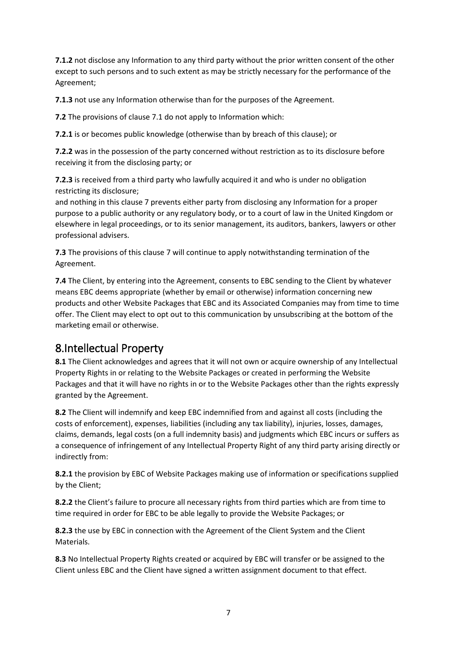**7.1.2** not disclose any Information to any third party without the prior written consent of the other except to such persons and to such extent as may be strictly necessary for the performance of the Agreement;

**7.1.3** not use any Information otherwise than for the purposes of the Agreement.

**7.2** The provisions of clause 7.1 do not apply to Information which:

**7.2.1** is or becomes public knowledge (otherwise than by breach of this clause); or

**7.2.2** was in the possession of the party concerned without restriction as to its disclosure before receiving it from the disclosing party; or

**7.2.3** is received from a third party who lawfully acquired it and who is under no obligation restricting its disclosure;

and nothing in this clause 7 prevents either party from disclosing any Information for a proper purpose to a public authority or any regulatory body, or to a court of law in the United Kingdom or elsewhere in legal proceedings, or to its senior management, its auditors, bankers, lawyers or other professional advisers.

**7.3** The provisions of this clause 7 will continue to apply notwithstanding termination of the Agreement.

**7.4** The Client, by entering into the Agreement, consents to EBC sending to the Client by whatever means EBC deems appropriate (whether by email or otherwise) information concerning new products and other Website Packages that EBC and its Associated Companies may from time to time offer. The Client may elect to opt out to this communication by unsubscribing at the bottom of the marketing email or otherwise.

### 8.Intellectual Property

**8.1** The Client acknowledges and agrees that it will not own or acquire ownership of any Intellectual Property Rights in or relating to the Website Packages or created in performing the Website Packages and that it will have no rights in or to the Website Packages other than the rights expressly granted by the Agreement.

**8.2** The Client will indemnify and keep EBC indemnified from and against all costs (including the costs of enforcement), expenses, liabilities (including any tax liability), injuries, losses, damages, claims, demands, legal costs (on a full indemnity basis) and judgments which EBC incurs or suffers as a consequence of infringement of any Intellectual Property Right of any third party arising directly or indirectly from:

**8.2.1** the provision by EBC of Website Packages making use of information or specifications supplied by the Client;

**8.2.2** the Client's failure to procure all necessary rights from third parties which are from time to time required in order for EBC to be able legally to provide the Website Packages; or

**8.2.3** the use by EBC in connection with the Agreement of the Client System and the Client Materials.

**8.3** No Intellectual Property Rights created or acquired by EBC will transfer or be assigned to the Client unless EBC and the Client have signed a written assignment document to that effect.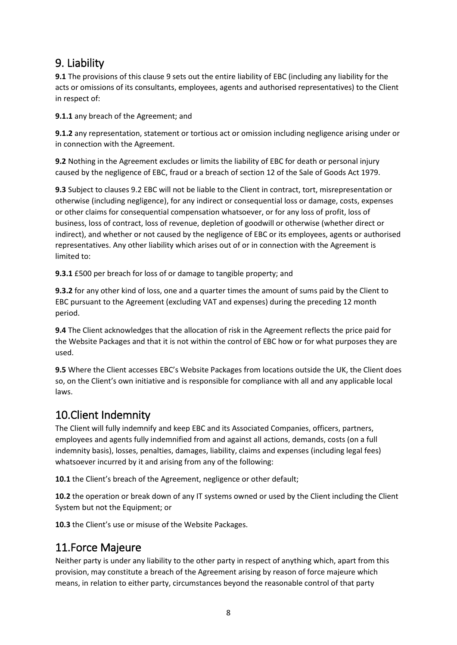# 9. Liability

**9.1** The provisions of this clause 9 sets out the entire liability of EBC (including any liability for the acts or omissions of its consultants, employees, agents and authorised representatives) to the Client in respect of:

**9.1.1** any breach of the Agreement; and

**9.1.2** any representation, statement or tortious act or omission including negligence arising under or in connection with the Agreement.

**9.2** Nothing in the Agreement excludes or limits the liability of EBC for death or personal injury caused by the negligence of EBC, fraud or a breach of section 12 of the Sale of Goods Act 1979.

**9.3** Subject to clauses 9.2 EBC will not be liable to the Client in contract, tort, misrepresentation or otherwise (including negligence), for any indirect or consequential loss or damage, costs, expenses or other claims for consequential compensation whatsoever, or for any loss of profit, loss of business, loss of contract, loss of revenue, depletion of goodwill or otherwise (whether direct or indirect), and whether or not caused by the negligence of EBC or its employees, agents or authorised representatives. Any other liability which arises out of or in connection with the Agreement is limited to:

**9.3.1** £500 per breach for loss of or damage to tangible property; and

**9.3.2** for any other kind of loss, one and a quarter times the amount of sums paid by the Client to EBC pursuant to the Agreement (excluding VAT and expenses) during the preceding 12 month period.

**9.4** The Client acknowledges that the allocation of risk in the Agreement reflects the price paid for the Website Packages and that it is not within the control of EBC how or for what purposes they are used.

**9.5** Where the Client accesses EBC's Website Packages from locations outside the UK, the Client does so, on the Client's own initiative and is responsible for compliance with all and any applicable local laws.

### 10.Client Indemnity

The Client will fully indemnify and keep EBC and its Associated Companies, officers, partners, employees and agents fully indemnified from and against all actions, demands, costs (on a full indemnity basis), losses, penalties, damages, liability, claims and expenses (including legal fees) whatsoever incurred by it and arising from any of the following:

**10.1** the Client's breach of the Agreement, negligence or other default;

**10.2** the operation or break down of any IT systems owned or used by the Client including the Client System but not the Equipment; or

**10.3** the Client's use or misuse of the Website Packages.

### 11.Force Majeure

Neither party is under any liability to the other party in respect of anything which, apart from this provision, may constitute a breach of the Agreement arising by reason of force majeure which means, in relation to either party, circumstances beyond the reasonable control of that party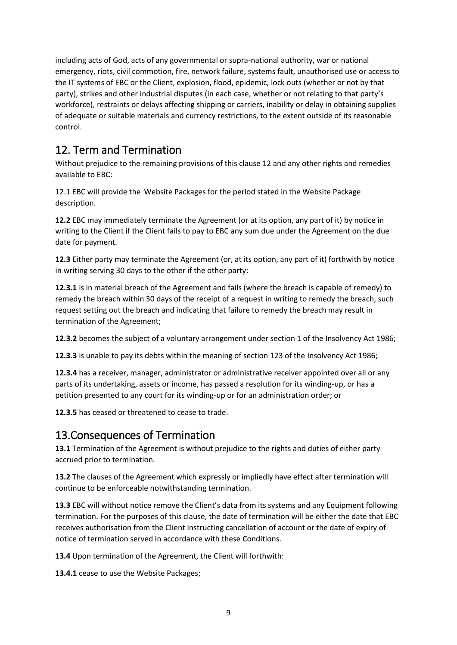including acts of God, acts of any governmental or supra-national authority, war or national emergency, riots, civil commotion, fire, network failure, systems fault, unauthorised use or access to the IT systems of EBC or the Client, explosion, flood, epidemic, lock outs (whether or not by that party), strikes and other industrial disputes (in each case, whether or not relating to that party's workforce), restraints or delays affecting shipping or carriers, inability or delay in obtaining supplies of adequate or suitable materials and currency restrictions, to the extent outside of its reasonable control.

# 12. Term and Termination

Without prejudice to the remaining provisions of this clause 12 and any other rights and remedies available to EBC:

12.1 EBC will provide the Website Packages for the period stated in the Website Package description.

**12.2** EBC may immediately terminate the Agreement (or at its option, any part of it) by notice in writing to the Client if the Client fails to pay to EBC any sum due under the Agreement on the due date for payment.

**12.3** Either party may terminate the Agreement (or, at its option, any part of it) forthwith by notice in writing serving 30 days to the other if the other party:

**12.3.1** is in material breach of the Agreement and fails (where the breach is capable of remedy) to remedy the breach within 30 days of the receipt of a request in writing to remedy the breach, such request setting out the breach and indicating that failure to remedy the breach may result in termination of the Agreement;

**12.3.2** becomes the subject of a voluntary arrangement under section 1 of the Insolvency Act 1986;

**12.3.3** is unable to pay its debts within the meaning of section 123 of the Insolvency Act 1986;

**12.3.4** has a receiver, manager, administrator or administrative receiver appointed over all or any parts of its undertaking, assets or income, has passed a resolution for its winding-up, or has a petition presented to any court for its winding-up or for an administration order; or

**12.3.5** has ceased or threatened to cease to trade.

### 13.Consequences of Termination

**13.1** Termination of the Agreement is without prejudice to the rights and duties of either party accrued prior to termination.

**13.2** The clauses of the Agreement which expressly or impliedly have effect after termination will continue to be enforceable notwithstanding termination.

**13.3** EBC will without notice remove the Client's data from its systems and any Equipment following termination. For the purposes of this clause, the date of termination will be either the date that EBC receives authorisation from the Client instructing cancellation of account or the date of expiry of notice of termination served in accordance with these Conditions.

**13.4** Upon termination of the Agreement, the Client will forthwith:

13.4.1 cease to use the Website Packages;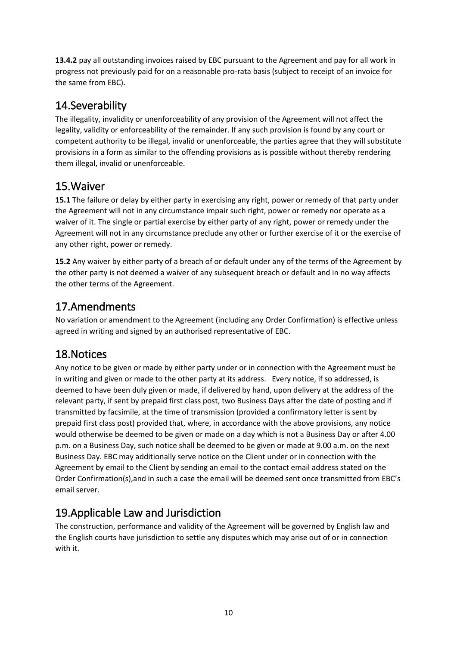**13.4.2** pay all outstanding invoices raised by EBC pursuant to the Agreement and pay for all work in progress not previously paid for on a reasonable pro-rata basis (subject to receipt of an invoice for the same from EBC).

# 14.Severability

The illegality, invalidity or unenforceability of any provision of the Agreement will not affect the legality, validity or enforceability of the remainder. If any such provision is found by any court or competent authority to be illegal, invalid or unenforceable, the parties agree that they will substitute provisions in a form as similar to the offending provisions as is possible without thereby rendering them illegal, invalid or unenforceable.

## 15.Waiver

**15.1** The failure or delay by either party in exercising any right, power or remedy of that party under the Agreement will not in any circumstance impair such right, power or remedy nor operate as a waiver of it. The single or partial exercise by either party of any right, power or remedy under the Agreement will not in any circumstance preclude any other or further exercise of it or the exercise of any other right, power or remedy.

**15.2** Any waiver by either party of a breach of or default under any of the terms of the Agreement by the other party is not deemed a waiver of any subsequent breach or default and in no way affects the other terms of the Agreement.

# 17.Amendments

No variation or amendment to the Agreement (including any Order Confirmation) is effective unless agreed in writing and signed by an authorised representative of EBC.

# 18.Notices

Any notice to be given or made by either party under or in connection with the Agreement must be in writing and given or made to the other party at its address. Every notice, if so addressed, is deemed to have been duly given or made, if delivered by hand, upon delivery at the address of the relevant party, if sent by prepaid first class post, two Business Days after the date of posting and if transmitted by facsimile, at the time of transmission (provided a confirmatory letter is sent by prepaid first class post) provided that, where, in accordance with the above provisions, any notice would otherwise be deemed to be given or made on a day which is not a Business Day or after 4.00 p.m. on a Business Day, such notice shall be deemed to be given or made at 9.00 a.m. on the next Business Day. EBC may additionally serve notice on the Client under or in connection with the Agreement by email to the Client by sending an email to the contact email address stated on the Order Confirmation(s),and in such a case the email will be deemed sent once transmitted from EBC's email server.

# 19.Applicable Law and Jurisdiction

The construction, performance and validity of the Agreement will be governed by English law and the English courts have jurisdiction to settle any disputes which may arise out of or in connection with it.